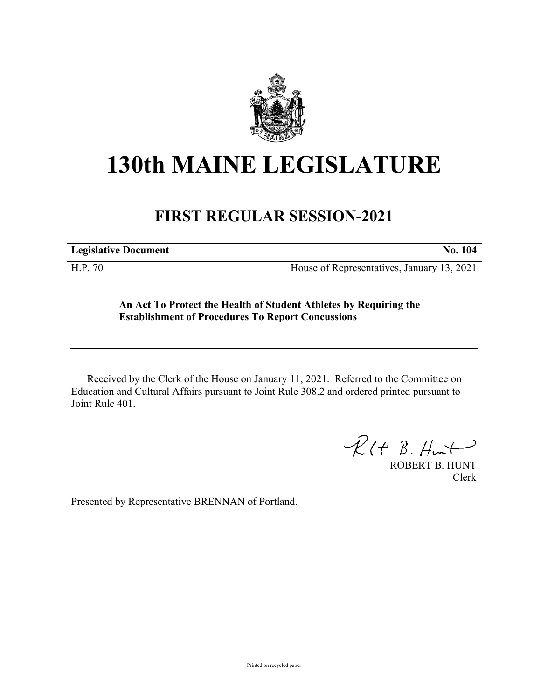

## **130th MAINE LEGISLATURE**

## **FIRST REGULAR SESSION-2021**

**Legislative Document No. 104**

H.P. 70 House of Representatives, January 13, 2021

## **An Act To Protect the Health of Student Athletes by Requiring the Establishment of Procedures To Report Concussions**

Received by the Clerk of the House on January 11, 2021. Referred to the Committee on Education and Cultural Affairs pursuant to Joint Rule 308.2 and ordered printed pursuant to Joint Rule 401.

 $R(H B. H<sub>un</sub>)$ 

ROBERT B. HUNT Clerk

Presented by Representative BRENNAN of Portland.